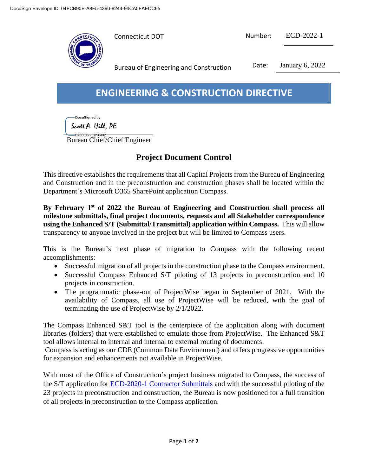

| Connecticut DOT | Number: | ECD-2022-1 |
|-----------------|---------|------------|

Bureau of Engineering and Construction Date: January 6, 2022

## **ENGINEERING & CONSTRUCTION DIRECTIVE**

DocuSigned by:

Scott A. Hill, PE

Bureau Chief/Chief Engineer

## **Project Document Control**

This directive establishes the requirements that all Capital Projects from the Bureau of Engineering and Construction and in the preconstruction and construction phases shall be located within the Department's Microsoft O365 SharePoint application Compass.

**By February 1st of 2022 the Bureau of Engineering and Construction shall process all milestone submittals, final project documents, requests and all Stakeholder correspondence using the Enhanced S/T (Submittal/Transmittal) application within Compass.** This will allow transparency to anyone involved in the project but will be limited to Compass users.

This is the Bureau's next phase of migration to Compass with the following recent accomplishments:

- Successful migration of all projects in the construction phase to the Compass environment.
- Successful Compass Enhanced S/T piloting of 13 projects in preconstruction and 10 projects in construction.
- The programmatic phase-out of ProjectWise began in September of 2021. With the availability of Compass, all use of ProjectWise will be reduced, with the goal of terminating the use of ProjectWise by 2/1/2022.

The Compass Enhanced S&T tool is the centerpiece of the application along with document libraries (folders) that were established to emulate those from ProjectWise. The Enhanced S&T tool allows internal to internal and internal to external routing of documents.

Compass is acting as our CDE (Common Data Environment) and offers progressive opportunities for expansion and enhancements not available in ProjectWise.

With most of the Office of Construction's project business migrated to Compass, the success of the S/T application for **ECD-2020-1 Contractor Submittals** and with the successful piloting of the 23 projects in preconstruction and construction, the Bureau is now positioned for a full transition of all projects in preconstruction to the Compass application.